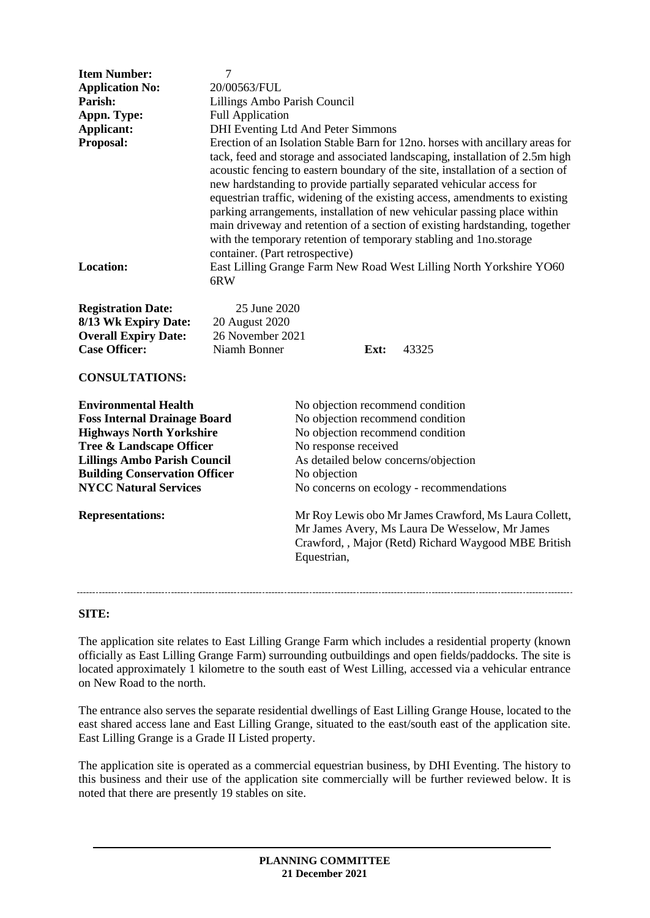| <b>Item Number:</b>                  | $\overline{7}$                                                                                                                                                                                                                                                                                                                                                                                                                                                                                                                                                                                                                                                              |                                                                                                                                                                                |      |       |  |
|--------------------------------------|-----------------------------------------------------------------------------------------------------------------------------------------------------------------------------------------------------------------------------------------------------------------------------------------------------------------------------------------------------------------------------------------------------------------------------------------------------------------------------------------------------------------------------------------------------------------------------------------------------------------------------------------------------------------------------|--------------------------------------------------------------------------------------------------------------------------------------------------------------------------------|------|-------|--|
| <b>Application No:</b>               | 20/00563/FUL                                                                                                                                                                                                                                                                                                                                                                                                                                                                                                                                                                                                                                                                |                                                                                                                                                                                |      |       |  |
| Parish:                              | Lillings Ambo Parish Council                                                                                                                                                                                                                                                                                                                                                                                                                                                                                                                                                                                                                                                |                                                                                                                                                                                |      |       |  |
| Appn. Type:                          | <b>Full Application</b>                                                                                                                                                                                                                                                                                                                                                                                                                                                                                                                                                                                                                                                     |                                                                                                                                                                                |      |       |  |
| <b>Applicant:</b>                    | DHI Eventing Ltd And Peter Simmons                                                                                                                                                                                                                                                                                                                                                                                                                                                                                                                                                                                                                                          |                                                                                                                                                                                |      |       |  |
| Proposal:                            | Erection of an Isolation Stable Barn for 12no. horses with ancillary areas for<br>tack, feed and storage and associated landscaping, installation of 2.5m high<br>acoustic fencing to eastern boundary of the site, installation of a section of<br>new hardstanding to provide partially separated vehicular access for<br>equestrian traffic, widening of the existing access, amendments to existing<br>parking arrangements, installation of new vehicular passing place within<br>main driveway and retention of a section of existing hardstanding, together<br>with the temporary retention of temporary stabling and 1no.storage<br>container. (Part retrospective) |                                                                                                                                                                                |      |       |  |
| <b>Location:</b>                     | East Lilling Grange Farm New Road West Lilling North Yorkshire YO60<br>6RW                                                                                                                                                                                                                                                                                                                                                                                                                                                                                                                                                                                                  |                                                                                                                                                                                |      |       |  |
| <b>Registration Date:</b>            | 25 June 2020                                                                                                                                                                                                                                                                                                                                                                                                                                                                                                                                                                                                                                                                |                                                                                                                                                                                |      |       |  |
| 8/13 Wk Expiry Date:                 | 20 August 2020                                                                                                                                                                                                                                                                                                                                                                                                                                                                                                                                                                                                                                                              |                                                                                                                                                                                |      |       |  |
| <b>Overall Expiry Date:</b>          | 26 November 2021                                                                                                                                                                                                                                                                                                                                                                                                                                                                                                                                                                                                                                                            |                                                                                                                                                                                |      |       |  |
| <b>Case Officer:</b>                 | Niamh Bonner                                                                                                                                                                                                                                                                                                                                                                                                                                                                                                                                                                                                                                                                |                                                                                                                                                                                | Ext: | 43325 |  |
| <b>CONSULTATIONS:</b>                |                                                                                                                                                                                                                                                                                                                                                                                                                                                                                                                                                                                                                                                                             |                                                                                                                                                                                |      |       |  |
| <b>Environmental Health</b>          |                                                                                                                                                                                                                                                                                                                                                                                                                                                                                                                                                                                                                                                                             | No objection recommend condition                                                                                                                                               |      |       |  |
| <b>Foss Internal Drainage Board</b>  |                                                                                                                                                                                                                                                                                                                                                                                                                                                                                                                                                                                                                                                                             | No objection recommend condition                                                                                                                                               |      |       |  |
| <b>Highways North Yorkshire</b>      |                                                                                                                                                                                                                                                                                                                                                                                                                                                                                                                                                                                                                                                                             | No objection recommend condition                                                                                                                                               |      |       |  |
| <b>Tree &amp; Landscape Officer</b>  |                                                                                                                                                                                                                                                                                                                                                                                                                                                                                                                                                                                                                                                                             | No response received                                                                                                                                                           |      |       |  |
| <b>Lillings Ambo Parish Council</b>  |                                                                                                                                                                                                                                                                                                                                                                                                                                                                                                                                                                                                                                                                             | As detailed below concerns/objection                                                                                                                                           |      |       |  |
| <b>Building Conservation Officer</b> |                                                                                                                                                                                                                                                                                                                                                                                                                                                                                                                                                                                                                                                                             | No objection                                                                                                                                                                   |      |       |  |
| <b>NYCC Natural Services</b>         |                                                                                                                                                                                                                                                                                                                                                                                                                                                                                                                                                                                                                                                                             | No concerns on ecology - recommendations                                                                                                                                       |      |       |  |
| <b>Representations:</b>              |                                                                                                                                                                                                                                                                                                                                                                                                                                                                                                                                                                                                                                                                             | Mr Roy Lewis obo Mr James Crawford, Ms Laura Collett,<br>Mr James Avery, Ms Laura De Wesselow, Mr James<br>Crawford, , Major (Retd) Richard Waygood MBE British<br>Equestrian, |      |       |  |

## **SITE:**

The application site relates to East Lilling Grange Farm which includes a residential property (known officially as East Lilling Grange Farm) surrounding outbuildings and open fields/paddocks. The site is located approximately 1 kilometre to the south east of West Lilling, accessed via a vehicular entrance on New Road to the north.

The entrance also serves the separate residential dwellings of East Lilling Grange House, located to the east shared access lane and East Lilling Grange, situated to the east/south east of the application site. East Lilling Grange is a Grade II Listed property.

The application site is operated as a commercial equestrian business, by DHI Eventing. The history to this business and their use of the application site commercially will be further reviewed below. It is noted that there are presently 19 stables on site.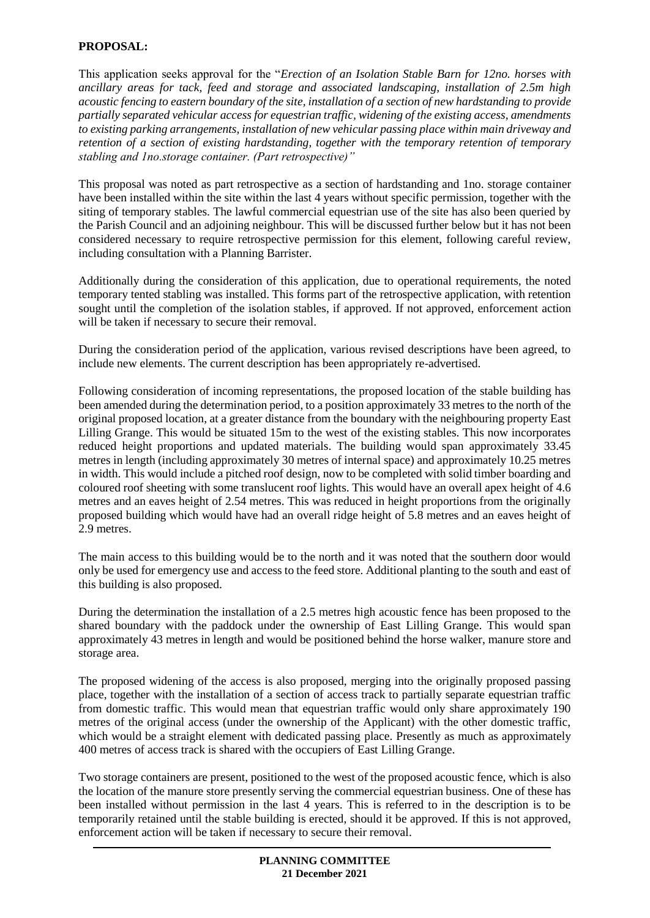# **PROPOSAL:**

This application seeks approval for the "*Erection of an Isolation Stable Barn for 12no. horses with ancillary areas for tack, feed and storage and associated landscaping, installation of 2.5m high acoustic fencing to eastern boundary of the site, installation of a section of new hardstanding to provide partially separated vehicular access for equestrian traffic, widening of the existing access, amendments to existing parking arrangements, installation of new vehicular passing place within main driveway and retention of a section of existing hardstanding, together with the temporary retention of temporary stabling and 1no.storage container. (Part retrospective)"*

This proposal was noted as part retrospective as a section of hardstanding and 1no. storage container have been installed within the site within the last 4 years without specific permission, together with the siting of temporary stables. The lawful commercial equestrian use of the site has also been queried by the Parish Council and an adjoining neighbour. This will be discussed further below but it has not been considered necessary to require retrospective permission for this element, following careful review, including consultation with a Planning Barrister.

Additionally during the consideration of this application, due to operational requirements, the noted temporary tented stabling was installed. This forms part of the retrospective application, with retention sought until the completion of the isolation stables, if approved. If not approved, enforcement action will be taken if necessary to secure their removal.

During the consideration period of the application, various revised descriptions have been agreed, to include new elements. The current description has been appropriately re-advertised.

Following consideration of incoming representations, the proposed location of the stable building has been amended during the determination period, to a position approximately 33 metres to the north of the original proposed location, at a greater distance from the boundary with the neighbouring property East Lilling Grange. This would be situated 15m to the west of the existing stables. This now incorporates reduced height proportions and updated materials. The building would span approximately 33.45 metres in length (including approximately 30 metres of internal space) and approximately 10.25 metres in width. This would include a pitched roof design, now to be completed with solid timber boarding and coloured roof sheeting with some translucent roof lights. This would have an overall apex height of 4.6 metres and an eaves height of 2.54 metres. This was reduced in height proportions from the originally proposed building which would have had an overall ridge height of 5.8 metres and an eaves height of 2.9 metres.

The main access to this building would be to the north and it was noted that the southern door would only be used for emergency use and access to the feed store. Additional planting to the south and east of this building is also proposed.

During the determination the installation of a 2.5 metres high acoustic fence has been proposed to the shared boundary with the paddock under the ownership of East Lilling Grange. This would span approximately 43 metres in length and would be positioned behind the horse walker, manure store and storage area.

The proposed widening of the access is also proposed, merging into the originally proposed passing place, together with the installation of a section of access track to partially separate equestrian traffic from domestic traffic. This would mean that equestrian traffic would only share approximately 190 metres of the original access (under the ownership of the Applicant) with the other domestic traffic, which would be a straight element with dedicated passing place. Presently as much as approximately 400 metres of access track is shared with the occupiers of East Lilling Grange.

Two storage containers are present, positioned to the west of the proposed acoustic fence, which is also the location of the manure store presently serving the commercial equestrian business. One of these has been installed without permission in the last 4 years. This is referred to in the description is to be temporarily retained until the stable building is erected, should it be approved. If this is not approved, enforcement action will be taken if necessary to secure their removal.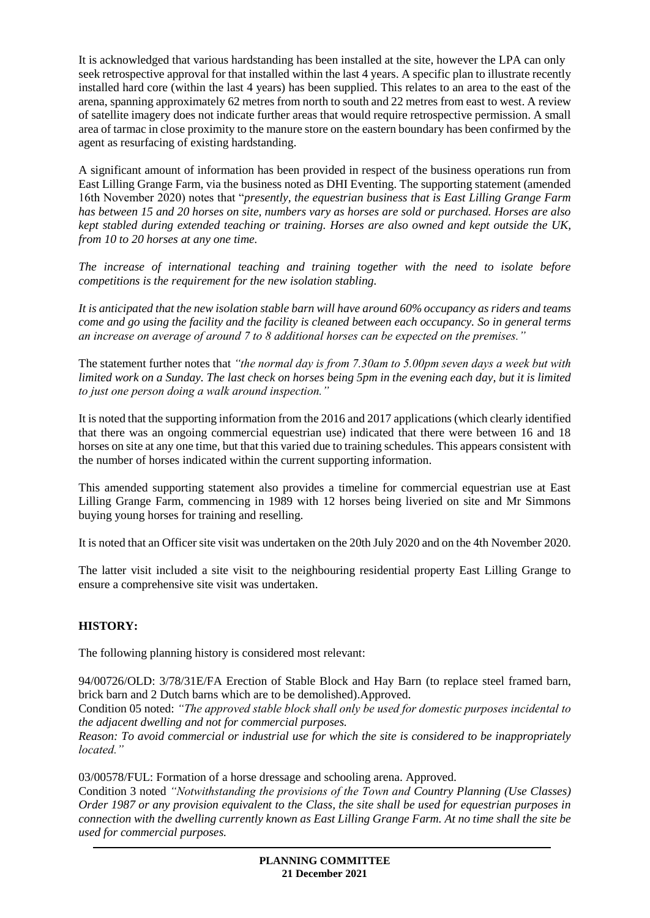It is acknowledged that various hardstanding has been installed at the site, however the LPA can only seek retrospective approval for that installed within the last 4 years. A specific plan to illustrate recently installed hard core (within the last 4 years) has been supplied. This relates to an area to the east of the arena, spanning approximately 62 metres from north to south and 22 metres from east to west. A review of satellite imagery does not indicate further areas that would require retrospective permission. A small area of tarmac in close proximity to the manure store on the eastern boundary has been confirmed by the agent as resurfacing of existing hardstanding.

A significant amount of information has been provided in respect of the business operations run from East Lilling Grange Farm, via the business noted as DHI Eventing. The supporting statement (amended 16th November 2020) notes that "*presently, the equestrian business that is East Lilling Grange Farm has between 15 and 20 horses on site, numbers vary as horses are sold or purchased. Horses are also kept stabled during extended teaching or training. Horses are also owned and kept outside the UK, from 10 to 20 horses at any one time.* 

*The increase of international teaching and training together with the need to isolate before competitions is the requirement for the new isolation stabling.* 

*It is anticipated that the new isolation stable barn will have around 60% occupancy as riders and teams come and go using the facility and the facility is cleaned between each occupancy. So in general terms an increase on average of around 7 to 8 additional horses can be expected on the premises."*

The statement further notes that *"the normal day is from 7.30am to 5.00pm seven days a week but with limited work on a Sunday. The last check on horses being 5pm in the evening each day, but it is limited to just one person doing a walk around inspection."*

It is noted that the supporting information from the 2016 and 2017 applications (which clearly identified that there was an ongoing commercial equestrian use) indicated that there were between 16 and 18 horses on site at any one time, but that this varied due to training schedules. This appears consistent with the number of horses indicated within the current supporting information.

This amended supporting statement also provides a timeline for commercial equestrian use at East Lilling Grange Farm, commencing in 1989 with 12 horses being liveried on site and Mr Simmons buying young horses for training and reselling.

It is noted that an Officer site visit was undertaken on the 20th July 2020 and on the 4th November 2020.

The latter visit included a site visit to the neighbouring residential property East Lilling Grange to ensure a comprehensive site visit was undertaken.

# **HISTORY:**

The following planning history is considered most relevant:

94/00726/OLD: 3/78/31E/FA Erection of Stable Block and Hay Barn (to replace steel framed barn, brick barn and 2 Dutch barns which are to be demolished).Approved.

Condition 05 noted: *"The approved stable block shall only be used for domestic purposes incidental to the adjacent dwelling and not for commercial purposes.*

*Reason: To avoid commercial or industrial use for which the site is considered to be inappropriately located."*

03/00578/FUL: Formation of a horse dressage and schooling arena. Approved.

Condition 3 noted *"Notwithstanding the provisions of the Town and Country Planning (Use Classes) Order 1987 or any provision equivalent to the Class, the site shall be used for equestrian purposes in connection with the dwelling currently known as East Lilling Grange Farm. At no time shall the site be used for commercial purposes.*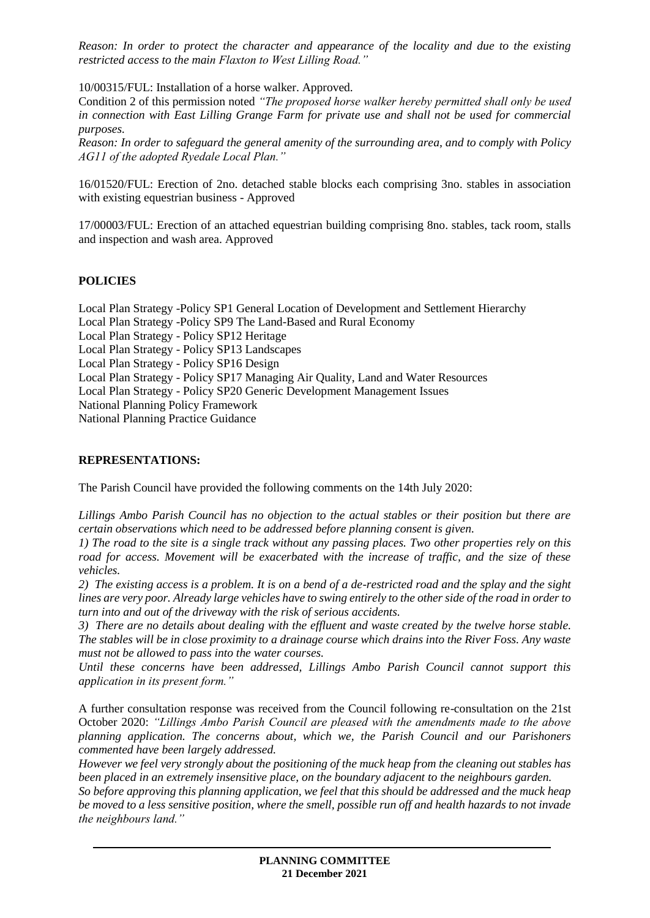*Reason: In order to protect the character and appearance of the locality and due to the existing restricted access to the main Flaxton to West Lilling Road."*

10/00315/FUL: Installation of a horse walker. Approved.

Condition 2 of this permission noted *"The proposed horse walker hereby permitted shall only be used in connection with East Lilling Grange Farm for private use and shall not be used for commercial purposes.*

*Reason: In order to safeguard the general amenity of the surrounding area, and to comply with Policy AG11 of the adopted Ryedale Local Plan."*

16/01520/FUL: Erection of 2no. detached stable blocks each comprising 3no. stables in association with existing equestrian business - Approved

17/00003/FUL: Erection of an attached equestrian building comprising 8no. stables, tack room, stalls and inspection and wash area. Approved

## **POLICIES**

Local Plan Strategy -Policy SP1 General Location of Development and Settlement Hierarchy Local Plan Strategy -Policy SP9 The Land-Based and Rural Economy Local Plan Strategy - Policy SP12 Heritage Local Plan Strategy - Policy SP13 Landscapes Local Plan Strategy - Policy SP16 Design Local Plan Strategy - Policy SP17 Managing Air Quality, Land and Water Resources Local Plan Strategy - Policy SP20 Generic Development Management Issues National Planning Policy Framework National Planning Practice Guidance

#### **REPRESENTATIONS:**

The Parish Council have provided the following comments on the 14th July 2020:

*Lillings Ambo Parish Council has no objection to the actual stables or their position but there are certain observations which need to be addressed before planning consent is given.*

*1) The road to the site is a single track without any passing places. Two other properties rely on this road for access. Movement will be exacerbated with the increase of traffic, and the size of these vehicles.*

*2) The existing access is a problem. It is on a bend of a de-restricted road and the splay and the sight lines are very poor. Already large vehicles have to swing entirely to the other side of the road in order to turn into and out of the driveway with the risk of serious accidents.*

*3) There are no details about dealing with the effluent and waste created by the twelve horse stable. The stables will be in close proximity to a drainage course which drains into the River Foss. Any waste must not be allowed to pass into the water courses.*

*Until these concerns have been addressed, Lillings Ambo Parish Council cannot support this application in its present form."*

A further consultation response was received from the Council following re-consultation on the 21st October 2020: *"Lillings Ambo Parish Council are pleased with the amendments made to the above planning application. The concerns about, which we, the Parish Council and our Parishoners commented have been largely addressed.* 

*However we feel very strongly about the positioning of the muck heap from the cleaning out stables has been placed in an extremely insensitive place, on the boundary adjacent to the neighbours garden.* 

*So before approving this planning application, we feel that this should be addressed and the muck heap be moved to a less sensitive position, where the smell, possible run off and health hazards to not invade the neighbours land."*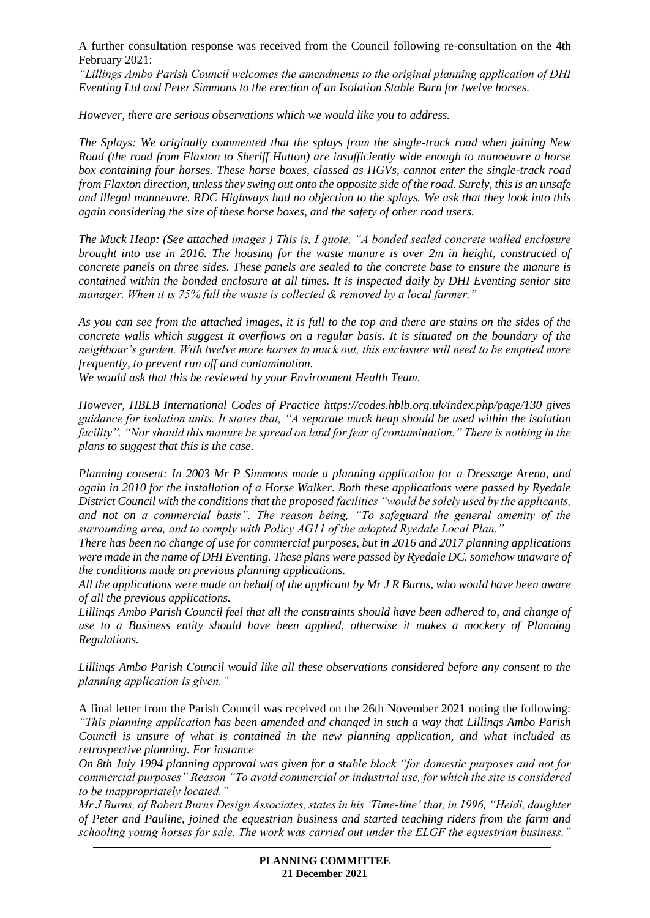A further consultation response was received from the Council following re-consultation on the 4th February 2021:

*"Lillings Ambo Parish Council welcomes the amendments to the original planning application of DHI Eventing Ltd and Peter Simmons to the erection of an Isolation Stable Barn for twelve horses.*

*However, there are serious observations which we would like you to address.*

*The Splays: We originally commented that the splays from the single-track road when joining New Road (the road from Flaxton to Sheriff Hutton) are insufficiently wide enough to manoeuvre a horse box containing four horses. These horse boxes, classed as HGVs, cannot enter the single-track road from Flaxton direction, unless they swing out onto the opposite side of the road. Surely, this is an unsafe and illegal manoeuvre. RDC Highways had no objection to the splays. We ask that they look into this again considering the size of these horse boxes, and the safety of other road users.*

*The Muck Heap: (See attached images ) This is, I quote, "A bonded sealed concrete walled enclosure brought into use in 2016. The housing for the waste manure is over 2m in height, constructed of concrete panels on three sides. These panels are sealed to the concrete base to ensure the manure is contained within the bonded enclosure at all times. It is inspected daily by DHI Eventing senior site manager. When it is 75% full the waste is collected & removed by a local farmer."*

*As you can see from the attached images, it is full to the top and there are stains on the sides of the concrete walls which suggest it overflows on a regular basis. It is situated on the boundary of the neighbour's garden. With twelve more horses to muck out, this enclosure will need to be emptied more frequently, to prevent run off and contamination.*

*We would ask that this be reviewed by your Environment Health Team.*

*However, HBLB International Codes of Practice https://codes.hblb.org.uk/index.php/page/130 gives guidance for isolation units. It states that, "A separate muck heap should be used within the isolation facility". "Nor should this manure be spread on land for fear of contamination." There is nothing in the plans to suggest that this is the case.*

*Planning consent: In 2003 Mr P Simmons made a planning application for a Dressage Arena, and again in 2010 for the installation of a Horse Walker. Both these applications were passed by Ryedale District Council with the conditions that the proposed facilities "would be solely used by the applicants, and not on a commercial basis". The reason being, "To safeguard the general amenity of the surrounding area, and to comply with Policy AG11 of the adopted Ryedale Local Plan."*

*There has been no change of use for commercial purposes, but in 2016 and 2017 planning applications were made in the name of DHI Eventing. These plans were passed by Ryedale DC. somehow unaware of the conditions made on previous planning applications.*

*All the applications were made on behalf of the applicant by Mr J R Burns, who would have been aware of all the previous applications.*

*Lillings Ambo Parish Council feel that all the constraints should have been adhered to, and change of use to a Business entity should have been applied, otherwise it makes a mockery of Planning Regulations.*

*Lillings Ambo Parish Council would like all these observations considered before any consent to the planning application is given."*

A final letter from the Parish Council was received on the 26th November 2021 noting the following: *"This planning application has been amended and changed in such a way that Lillings Ambo Parish Council is unsure of what is contained in the new planning application, and what included as retrospective planning. For instance*

*On 8th July 1994 planning approval was given for a stable block "for domestic purposes and not for commercial purposes" Reason "To avoid commercial or industrial use, for which the site is considered to be inappropriately located."*

*Mr J Burns, of Robert Burns Design Associates, states in his 'Time-line' that, in 1996, "Heidi, daughter of Peter and Pauline, joined the equestrian business and started teaching riders from the farm and schooling young horses for sale. The work was carried out under the ELGF the equestrian business."*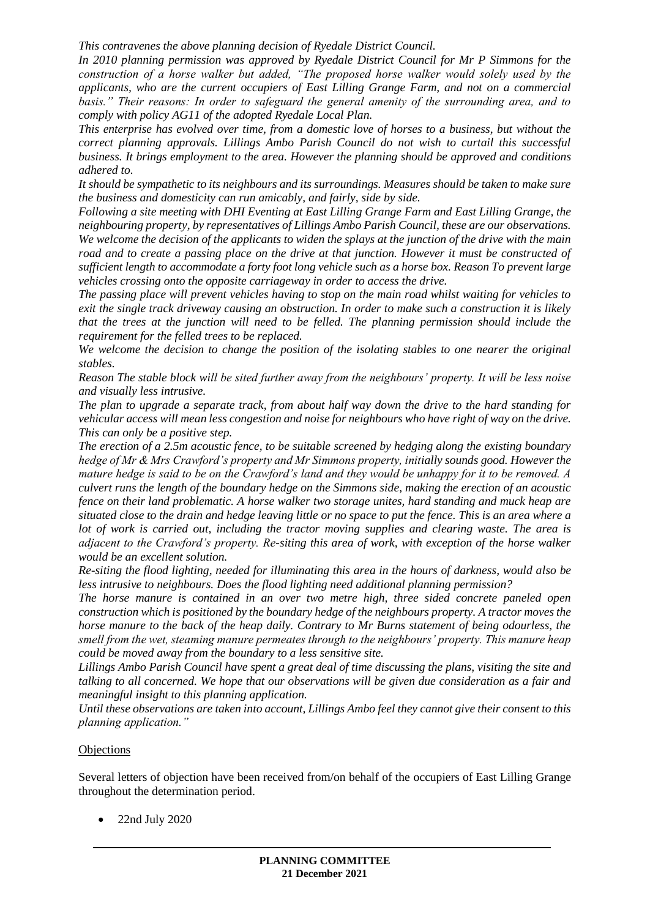*This contravenes the above planning decision of Ryedale District Council.*

*In 2010 planning permission was approved by Ryedale District Council for Mr P Simmons for the construction of a horse walker but added, "The proposed horse walker would solely used by the applicants, who are the current occupiers of East Lilling Grange Farm, and not on a commercial basis." Their reasons: In order to safeguard the general amenity of the surrounding area, and to comply with policy AG11 of the adopted Ryedale Local Plan.*

*This enterprise has evolved over time, from a domestic love of horses to a business, but without the correct planning approvals. Lillings Ambo Parish Council do not wish to curtail this successful business. It brings employment to the area. However the planning should be approved and conditions adhered to.*

*It should be sympathetic to its neighbours and its surroundings. Measures should be taken to make sure the business and domesticity can run amicably, and fairly, side by side.*

*Following a site meeting with DHI Eventing at East Lilling Grange Farm and East Lilling Grange, the neighbouring property, by representatives of Lillings Ambo Parish Council, these are our observations. We welcome the decision of the applicants to widen the splays at the junction of the drive with the main road and to create a passing place on the drive at that junction. However it must be constructed of sufficient length to accommodate a forty foot long vehicle such as a horse box. Reason To prevent large vehicles crossing onto the opposite carriageway in order to access the drive.*

*The passing place will prevent vehicles having to stop on the main road whilst waiting for vehicles to exit the single track driveway causing an obstruction. In order to make such a construction it is likely that the trees at the junction will need to be felled. The planning permission should include the requirement for the felled trees to be replaced.*

*We welcome the decision to change the position of the isolating stables to one nearer the original stables.* 

*Reason The stable block will be sited further away from the neighbours' property. It will be less noise and visually less intrusive.*

*The plan to upgrade a separate track, from about half way down the drive to the hard standing for vehicular access will mean less congestion and noise for neighbours who have right of way on the drive. This can only be a positive step.*

*The erection of a 2.5m acoustic fence, to be suitable screened by hedging along the existing boundary hedge of Mr & Mrs Crawford's property and Mr Simmons property, initially sounds good. However the mature hedge is said to be on the Crawford's land and they would be unhappy for it to be removed. A culvert runs the length of the boundary hedge on the Simmons side, making the erection of an acoustic fence on their land problematic. A horse walker two storage unites, hard standing and muck heap are situated close to the drain and hedge leaving little or no space to put the fence. This is an area where a lot of work is carried out, including the tractor moving supplies and clearing waste. The area is adjacent to the Crawford's property. Re-siting this area of work, with exception of the horse walker would be an excellent solution.*

*Re-siting the flood lighting, needed for illuminating this area in the hours of darkness, would also be less intrusive to neighbours. Does the flood lighting need additional planning permission?*

*The horse manure is contained in an over two metre high, three sided concrete paneled open construction which is positioned by the boundary hedge of the neighbours property. A tractor moves the horse manure to the back of the heap daily. Contrary to Mr Burns statement of being odourless, the smell from the wet, steaming manure permeates through to the neighbours' property. This manure heap could be moved away from the boundary to a less sensitive site.*

*Lillings Ambo Parish Council have spent a great deal of time discussing the plans, visiting the site and talking to all concerned. We hope that our observations will be given due consideration as a fair and meaningful insight to this planning application.*

*Until these observations are taken into account, Lillings Ambo feel they cannot give their consent to this planning application."*

## **Objections**

Several letters of objection have been received from/on behalf of the occupiers of East Lilling Grange throughout the determination period.

• 22nd July 2020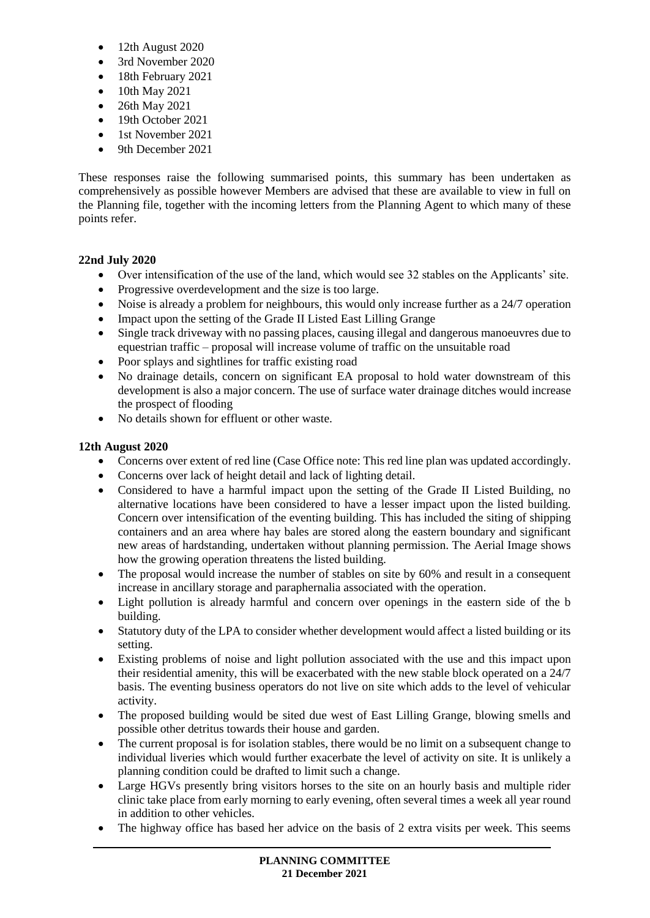- $\bullet$  12th August 2020
- 3rd November 2020
- 18th February 2021
- 10th May 2021
- 26th May 2021
- 19th October 2021
- 1st November 2021
- 9th December 2021

These responses raise the following summarised points, this summary has been undertaken as comprehensively as possible however Members are advised that these are available to view in full on the Planning file, together with the incoming letters from the Planning Agent to which many of these points refer.

# **22nd July 2020**

- Over intensification of the use of the land, which would see 32 stables on the Applicants' site.
- Progressive overdevelopment and the size is too large.
- Noise is already a problem for neighbours, this would only increase further as a 24/7 operation
- Impact upon the setting of the Grade II Listed East Lilling Grange
- Single track driveway with no passing places, causing illegal and dangerous manoeuvres due to equestrian traffic – proposal will increase volume of traffic on the unsuitable road
- Poor splays and sightlines for traffic existing road
- No drainage details, concern on significant EA proposal to hold water downstream of this development is also a major concern. The use of surface water drainage ditches would increase the prospect of flooding
- No details shown for effluent or other waste.

# **12th August 2020**

- Concerns over extent of red line (Case Office note: This red line plan was updated accordingly.
- Concerns over lack of height detail and lack of lighting detail.
- Considered to have a harmful impact upon the setting of the Grade II Listed Building, no alternative locations have been considered to have a lesser impact upon the listed building. Concern over intensification of the eventing building. This has included the siting of shipping containers and an area where hay bales are stored along the eastern boundary and significant new areas of hardstanding, undertaken without planning permission. The Aerial Image shows how the growing operation threatens the listed building.
- The proposal would increase the number of stables on site by 60% and result in a consequent increase in ancillary storage and paraphernalia associated with the operation.
- Light pollution is already harmful and concern over openings in the eastern side of the b building.
- Statutory duty of the LPA to consider whether development would affect a listed building or its setting.
- Existing problems of noise and light pollution associated with the use and this impact upon their residential amenity, this will be exacerbated with the new stable block operated on a 24/7 basis. The eventing business operators do not live on site which adds to the level of vehicular activity.
- The proposed building would be sited due west of East Lilling Grange, blowing smells and possible other detritus towards their house and garden.
- The current proposal is for isolation stables, there would be no limit on a subsequent change to individual liveries which would further exacerbate the level of activity on site. It is unlikely a planning condition could be drafted to limit such a change.
- Large HGVs presently bring visitors horses to the site on an hourly basis and multiple rider clinic take place from early morning to early evening, often several times a week all year round in addition to other vehicles.
- The highway office has based her advice on the basis of 2 extra visits per week. This seems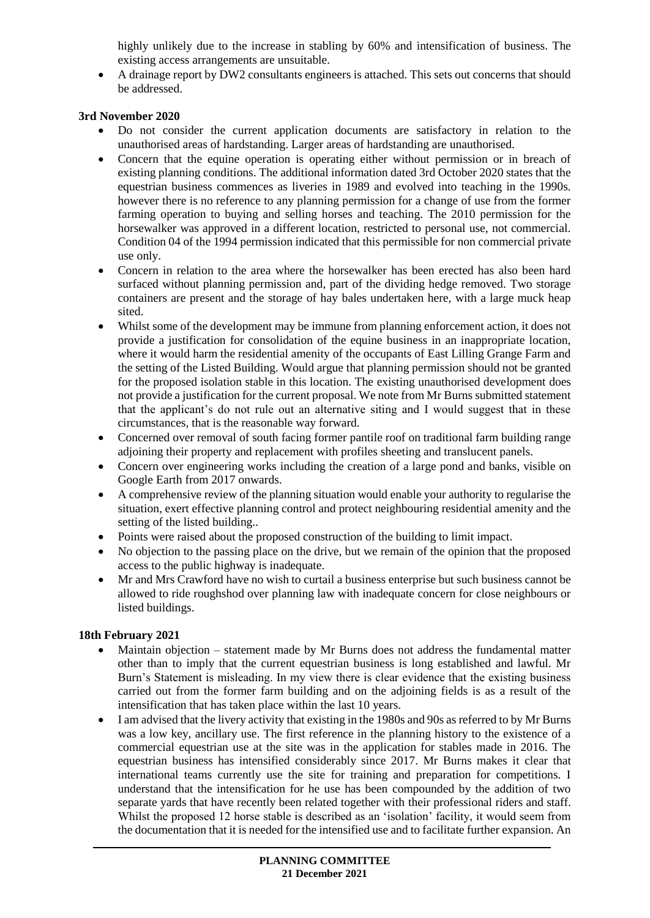highly unlikely due to the increase in stabling by 60% and intensification of business. The existing access arrangements are unsuitable.

 A drainage report by DW2 consultants engineers is attached. This sets out concerns that should be addressed.

#### **3rd November 2020**

- Do not consider the current application documents are satisfactory in relation to the unauthorised areas of hardstanding. Larger areas of hardstanding are unauthorised.
- Concern that the equine operation is operating either without permission or in breach of existing planning conditions. The additional information dated 3rd October 2020 states that the equestrian business commences as liveries in 1989 and evolved into teaching in the 1990s. however there is no reference to any planning permission for a change of use from the former farming operation to buying and selling horses and teaching. The 2010 permission for the horsewalker was approved in a different location, restricted to personal use, not commercial. Condition 04 of the 1994 permission indicated that this permissible for non commercial private use only.
- Concern in relation to the area where the horsewalker has been erected has also been hard surfaced without planning permission and, part of the dividing hedge removed. Two storage containers are present and the storage of hay bales undertaken here, with a large muck heap sited.
- Whilst some of the development may be immune from planning enforcement action, it does not provide a justification for consolidation of the equine business in an inappropriate location, where it would harm the residential amenity of the occupants of East Lilling Grange Farm and the setting of the Listed Building. Would argue that planning permission should not be granted for the proposed isolation stable in this location. The existing unauthorised development does not provide a justification for the current proposal. We note from Mr Burns submitted statement that the applicant's do not rule out an alternative siting and I would suggest that in these circumstances, that is the reasonable way forward.
- Concerned over removal of south facing former pantile roof on traditional farm building range adjoining their property and replacement with profiles sheeting and translucent panels.
- Concern over engineering works including the creation of a large pond and banks, visible on Google Earth from 2017 onwards.
- A comprehensive review of the planning situation would enable your authority to regularise the situation, exert effective planning control and protect neighbouring residential amenity and the setting of the listed building..
- Points were raised about the proposed construction of the building to limit impact.
- No objection to the passing place on the drive, but we remain of the opinion that the proposed access to the public highway is inadequate.
- Mr and Mrs Crawford have no wish to curtail a business enterprise but such business cannot be allowed to ride roughshod over planning law with inadequate concern for close neighbours or listed buildings.

## **18th February 2021**

- Maintain objection statement made by Mr Burns does not address the fundamental matter other than to imply that the current equestrian business is long established and lawful. Mr Burn's Statement is misleading. In my view there is clear evidence that the existing business carried out from the former farm building and on the adjoining fields is as a result of the intensification that has taken place within the last 10 years.
- I am advised that the livery activity that existing in the 1980s and 90s as referred to by Mr Burns was a low key, ancillary use. The first reference in the planning history to the existence of a commercial equestrian use at the site was in the application for stables made in 2016. The equestrian business has intensified considerably since 2017. Mr Burns makes it clear that international teams currently use the site for training and preparation for competitions. I understand that the intensification for he use has been compounded by the addition of two separate yards that have recently been related together with their professional riders and staff. Whilst the proposed 12 horse stable is described as an 'isolation' facility, it would seem from the documentation that it is needed for the intensified use and to facilitate further expansion. An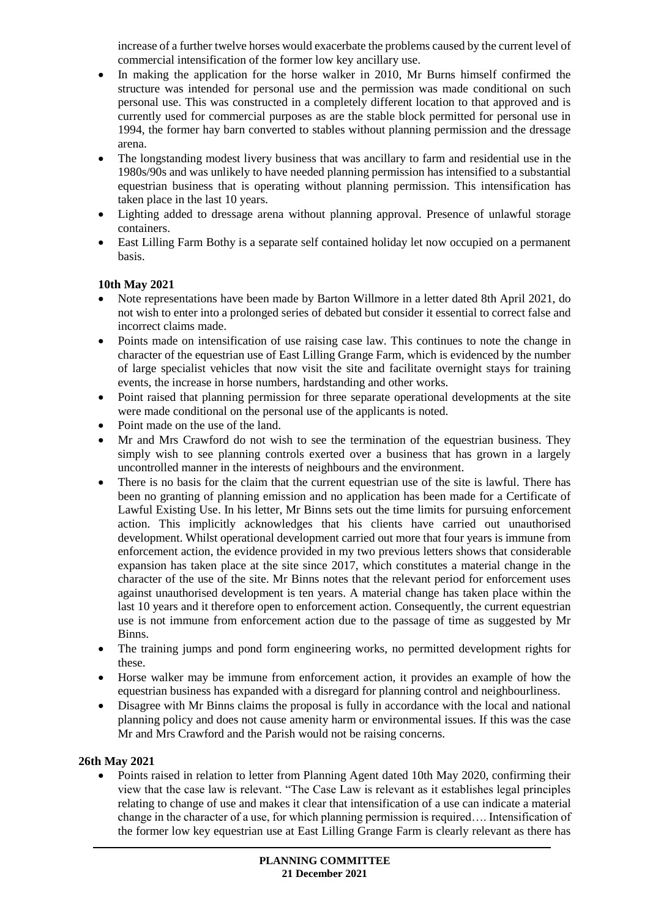increase of a further twelve horses would exacerbate the problems caused by the current level of commercial intensification of the former low key ancillary use.

- In making the application for the horse walker in 2010, Mr Burns himself confirmed the structure was intended for personal use and the permission was made conditional on such personal use. This was constructed in a completely different location to that approved and is currently used for commercial purposes as are the stable block permitted for personal use in 1994, the former hay barn converted to stables without planning permission and the dressage arena.
- The longstanding modest livery business that was ancillary to farm and residential use in the 1980s/90s and was unlikely to have needed planning permission has intensified to a substantial equestrian business that is operating without planning permission. This intensification has taken place in the last 10 years.
- Lighting added to dressage arena without planning approval. Presence of unlawful storage containers.
- East Lilling Farm Bothy is a separate self contained holiday let now occupied on a permanent basis.

# **10th May 2021**

- Note representations have been made by Barton Willmore in a letter dated 8th April 2021, do not wish to enter into a prolonged series of debated but consider it essential to correct false and incorrect claims made.
- Points made on intensification of use raising case law. This continues to note the change in character of the equestrian use of East Lilling Grange Farm, which is evidenced by the number of large specialist vehicles that now visit the site and facilitate overnight stays for training events, the increase in horse numbers, hardstanding and other works.
- Point raised that planning permission for three separate operational developments at the site were made conditional on the personal use of the applicants is noted.
- Point made on the use of the land.
- Mr and Mrs Crawford do not wish to see the termination of the equestrian business. They simply wish to see planning controls exerted over a business that has grown in a largely uncontrolled manner in the interests of neighbours and the environment.
- There is no basis for the claim that the current equestrian use of the site is lawful. There has been no granting of planning emission and no application has been made for a Certificate of Lawful Existing Use. In his letter, Mr Binns sets out the time limits for pursuing enforcement action. This implicitly acknowledges that his clients have carried out unauthorised development. Whilst operational development carried out more that four years is immune from enforcement action, the evidence provided in my two previous letters shows that considerable expansion has taken place at the site since 2017, which constitutes a material change in the character of the use of the site. Mr Binns notes that the relevant period for enforcement uses against unauthorised development is ten years. A material change has taken place within the last 10 years and it therefore open to enforcement action. Consequently, the current equestrian use is not immune from enforcement action due to the passage of time as suggested by Mr Binns.
- The training jumps and pond form engineering works, no permitted development rights for these.
- Horse walker may be immune from enforcement action, it provides an example of how the equestrian business has expanded with a disregard for planning control and neighbourliness.
- Disagree with Mr Binns claims the proposal is fully in accordance with the local and national planning policy and does not cause amenity harm or environmental issues. If this was the case Mr and Mrs Crawford and the Parish would not be raising concerns.

## **26th May 2021**

• Points raised in relation to letter from Planning Agent dated 10th May 2020, confirming their view that the case law is relevant. "The Case Law is relevant as it establishes legal principles relating to change of use and makes it clear that intensification of a use can indicate a material change in the character of a use, for which planning permission is required…. Intensification of the former low key equestrian use at East Lilling Grange Farm is clearly relevant as there has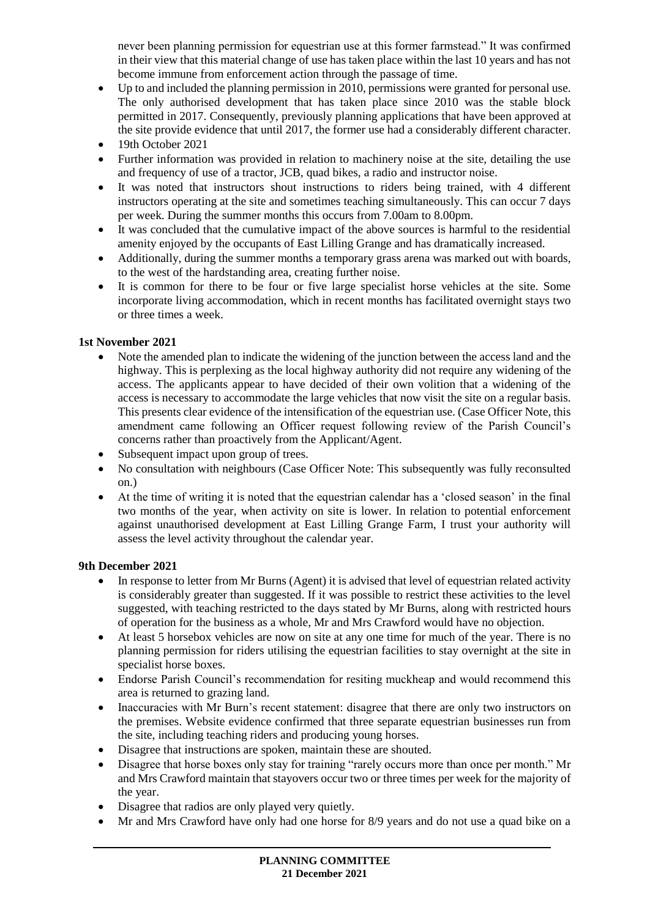never been planning permission for equestrian use at this former farmstead." It was confirmed in their view that this material change of use has taken place within the last 10 years and has not become immune from enforcement action through the passage of time.

- Up to and included the planning permission in 2010, permissions were granted for personal use. The only authorised development that has taken place since 2010 was the stable block permitted in 2017. Consequently, previously planning applications that have been approved at the site provide evidence that until 2017, the former use had a considerably different character.
- 19th October 2021
- Further information was provided in relation to machinery noise at the site, detailing the use and frequency of use of a tractor, JCB, quad bikes, a radio and instructor noise.
- It was noted that instructors shout instructions to riders being trained, with 4 different instructors operating at the site and sometimes teaching simultaneously. This can occur 7 days per week. During the summer months this occurs from 7.00am to 8.00pm.
- It was concluded that the cumulative impact of the above sources is harmful to the residential amenity enjoyed by the occupants of East Lilling Grange and has dramatically increased.
- Additionally, during the summer months a temporary grass arena was marked out with boards, to the west of the hardstanding area, creating further noise.
- It is common for there to be four or five large specialist horse vehicles at the site. Some incorporate living accommodation, which in recent months has facilitated overnight stays two or three times a week.

## **1st November 2021**

- Note the amended plan to indicate the widening of the junction between the access land and the highway. This is perplexing as the local highway authority did not require any widening of the access. The applicants appear to have decided of their own volition that a widening of the access is necessary to accommodate the large vehicles that now visit the site on a regular basis. This presents clear evidence of the intensification of the equestrian use. (Case Officer Note, this amendment came following an Officer request following review of the Parish Council's concerns rather than proactively from the Applicant/Agent.
- Subsequent impact upon group of trees.
- No consultation with neighbours (Case Officer Note: This subsequently was fully reconsulted on.)
- At the time of writing it is noted that the equestrian calendar has a 'closed season' in the final two months of the year, when activity on site is lower. In relation to potential enforcement against unauthorised development at East Lilling Grange Farm, I trust your authority will assess the level activity throughout the calendar year.

## **9th December 2021**

- In response to letter from Mr Burns (Agent) it is advised that level of equestrian related activity is considerably greater than suggested. If it was possible to restrict these activities to the level suggested, with teaching restricted to the days stated by Mr Burns, along with restricted hours of operation for the business as a whole, Mr and Mrs Crawford would have no objection.
- At least 5 horsebox vehicles are now on site at any one time for much of the year. There is no planning permission for riders utilising the equestrian facilities to stay overnight at the site in specialist horse boxes.
- Endorse Parish Council's recommendation for resiting muckheap and would recommend this area is returned to grazing land.
- Inaccuracies with Mr Burn's recent statement: disagree that there are only two instructors on the premises. Website evidence confirmed that three separate equestrian businesses run from the site, including teaching riders and producing young horses.
- Disagree that instructions are spoken, maintain these are shouted.
- Disagree that horse boxes only stay for training "rarely occurs more than once per month." Mr and Mrs Crawford maintain that stayovers occur two or three times per week for the majority of the year.
- Disagree that radios are only played very quietly.
- Mr and Mrs Crawford have only had one horse for 8/9 years and do not use a quad bike on a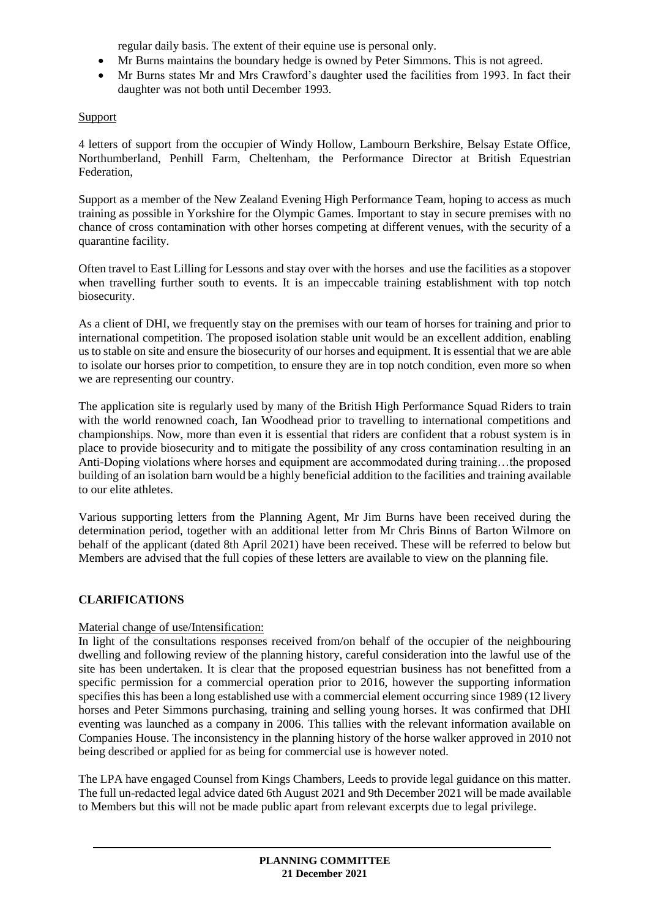regular daily basis. The extent of their equine use is personal only.

- Mr Burns maintains the boundary hedge is owned by Peter Simmons. This is not agreed.
- Mr Burns states Mr and Mrs Crawford's daughter used the facilities from 1993. In fact their daughter was not both until December 1993.

#### **Support**

4 letters of support from the occupier of Windy Hollow, Lambourn Berkshire, Belsay Estate Office, Northumberland, Penhill Farm, Cheltenham, the Performance Director at British Equestrian Federation,

Support as a member of the New Zealand Evening High Performance Team, hoping to access as much training as possible in Yorkshire for the Olympic Games. Important to stay in secure premises with no chance of cross contamination with other horses competing at different venues, with the security of a quarantine facility.

Often travel to East Lilling for Lessons and stay over with the horses and use the facilities as a stopover when travelling further south to events. It is an impeccable training establishment with top notch biosecurity.

As a client of DHI, we frequently stay on the premises with our team of horses for training and prior to international competition. The proposed isolation stable unit would be an excellent addition, enabling us to stable on site and ensure the biosecurity of our horses and equipment. It is essential that we are able to isolate our horses prior to competition, to ensure they are in top notch condition, even more so when we are representing our country.

The application site is regularly used by many of the British High Performance Squad Riders to train with the world renowned coach, Ian Woodhead prior to travelling to international competitions and championships. Now, more than even it is essential that riders are confident that a robust system is in place to provide biosecurity and to mitigate the possibility of any cross contamination resulting in an Anti-Doping violations where horses and equipment are accommodated during training…the proposed building of an isolation barn would be a highly beneficial addition to the facilities and training available to our elite athletes.

Various supporting letters from the Planning Agent, Mr Jim Burns have been received during the determination period, together with an additional letter from Mr Chris Binns of Barton Wilmore on behalf of the applicant (dated 8th April 2021) have been received. These will be referred to below but Members are advised that the full copies of these letters are available to view on the planning file.

## **CLARIFICATIONS**

## Material change of use/Intensification:

In light of the consultations responses received from/on behalf of the occupier of the neighbouring dwelling and following review of the planning history, careful consideration into the lawful use of the site has been undertaken. It is clear that the proposed equestrian business has not benefitted from a specific permission for a commercial operation prior to 2016, however the supporting information specifies this has been a long established use with a commercial element occurring since 1989 (12 livery horses and Peter Simmons purchasing, training and selling young horses. It was confirmed that DHI eventing was launched as a company in 2006. This tallies with the relevant information available on Companies House. The inconsistency in the planning history of the horse walker approved in 2010 not being described or applied for as being for commercial use is however noted.

The LPA have engaged Counsel from Kings Chambers, Leeds to provide legal guidance on this matter. The full un-redacted legal advice dated 6th August 2021 and 9th December 2021 will be made available to Members but this will not be made public apart from relevant excerpts due to legal privilege.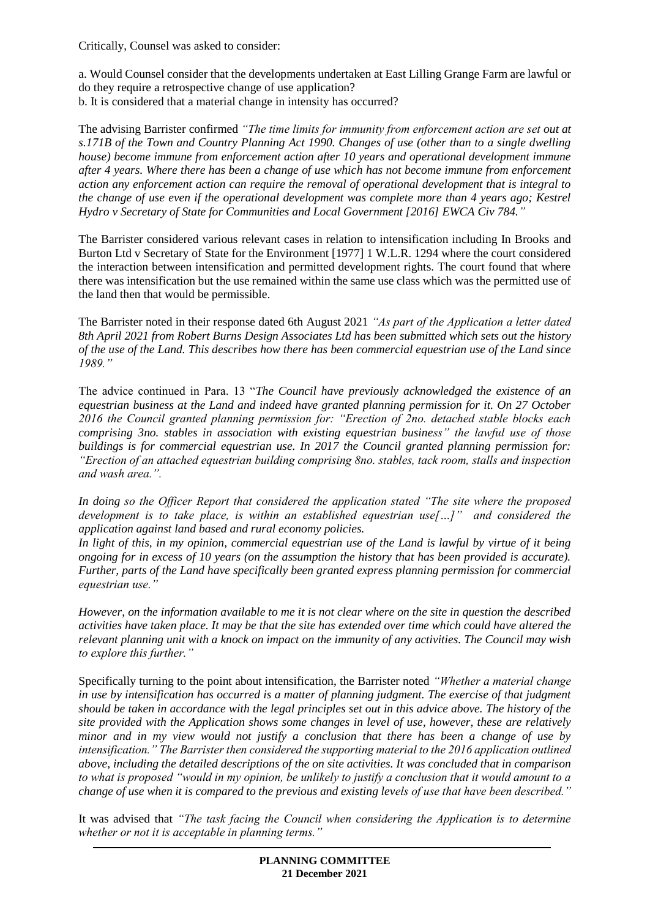Critically, Counsel was asked to consider:

a. Would Counsel consider that the developments undertaken at East Lilling Grange Farm are lawful or do they require a retrospective change of use application?

b. It is considered that a material change in intensity has occurred?

The advising Barrister confirmed *"The time limits for immunity from enforcement action are set out at s.171B of the Town and Country Planning Act 1990. Changes of use (other than to a single dwelling house) become immune from enforcement action after 10 years and operational development immune after 4 years. Where there has been a change of use which has not become immune from enforcement action any enforcement action can require the removal of operational development that is integral to the change of use even if the operational development was complete more than 4 years ago; Kestrel Hydro v Secretary of State for Communities and Local Government [2016] EWCA Civ 784."*

The Barrister considered various relevant cases in relation to intensification including In Brooks and Burton Ltd v Secretary of State for the Environment [1977] 1 W.L.R. 1294 where the court considered the interaction between intensification and permitted development rights. The court found that where there was intensification but the use remained within the same use class which was the permitted use of the land then that would be permissible.

The Barrister noted in their response dated 6th August 2021 *"As part of the Application a letter dated 8th April 2021 from Robert Burns Design Associates Ltd has been submitted which sets out the history of the use of the Land. This describes how there has been commercial equestrian use of the Land since 1989."*

The advice continued in Para. 13 "*The Council have previously acknowledged the existence of an equestrian business at the Land and indeed have granted planning permission for it. On 27 October 2016 the Council granted planning permission for: "Erection of 2no. detached stable blocks each comprising 3no. stables in association with existing equestrian business" the lawful use of those buildings is for commercial equestrian use. In 2017 the Council granted planning permission for: "Erection of an attached equestrian building comprising 8no. stables, tack room, stalls and inspection and wash area.".* 

*In doing so the Officer Report that considered the application stated "The site where the proposed development is to take place, is within an established equestrian use[…]" and considered the application against land based and rural economy policies.*

*In light of this, in my opinion, commercial equestrian use of the Land is lawful by virtue of it being ongoing for in excess of 10 years (on the assumption the history that has been provided is accurate). Further, parts of the Land have specifically been granted express planning permission for commercial equestrian use."* 

*However, on the information available to me it is not clear where on the site in question the described activities have taken place. It may be that the site has extended over time which could have altered the relevant planning unit with a knock on impact on the immunity of any activities. The Council may wish to explore this further."*

Specifically turning to the point about intensification, the Barrister noted *"Whether a material change in use by intensification has occurred is a matter of planning judgment. The exercise of that judgment should be taken in accordance with the legal principles set out in this advice above. The history of the site provided with the Application shows some changes in level of use, however, these are relatively minor and in my view would not justify a conclusion that there has been a change of use by intensification." The Barrister then considered the supporting material to the 2016 application outlined above, including the detailed descriptions of the on site activities. It was concluded that in comparison to what is proposed "would in my opinion, be unlikely to justify a conclusion that it would amount to a change of use when it is compared to the previous and existing levels of use that have been described."*

It was advised that *"The task facing the Council when considering the Application is to determine whether or not it is acceptable in planning terms."*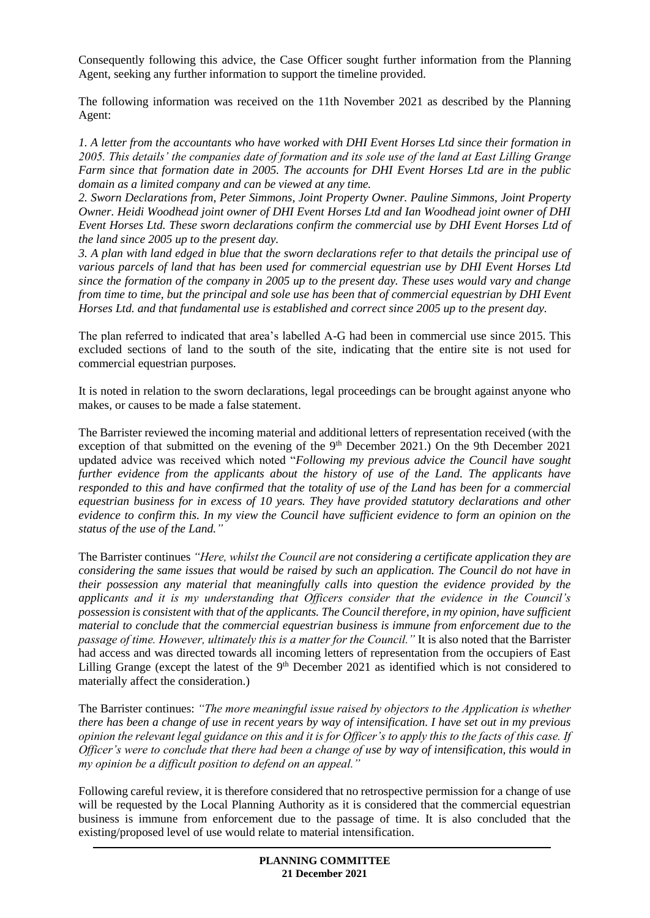Consequently following this advice, the Case Officer sought further information from the Planning Agent, seeking any further information to support the timeline provided.

The following information was received on the 11th November 2021 as described by the Planning Agent:

*1. A letter from the accountants who have worked with DHI Event Horses Ltd since their formation in 2005. This details' the companies date of formation and its sole use of the land at East Lilling Grange Farm since that formation date in 2005. The accounts for DHI Event Horses Ltd are in the public domain as a limited company and can be viewed at any time.*

*2. Sworn Declarations from, Peter Simmons, Joint Property Owner. Pauline Simmons, Joint Property Owner. Heidi Woodhead joint owner of DHI Event Horses Ltd and Ian Woodhead joint owner of DHI Event Horses Ltd. These sworn declarations confirm the commercial use by DHI Event Horses Ltd of the land since 2005 up to the present day.*

*3. A plan with land edged in blue that the sworn declarations refer to that details the principal use of various parcels of land that has been used for commercial equestrian use by DHI Event Horses Ltd since the formation of the company in 2005 up to the present day. These uses would vary and change from time to time, but the principal and sole use has been that of commercial equestrian by DHI Event Horses Ltd. and that fundamental use is established and correct since 2005 up to the present day.*

The plan referred to indicated that area's labelled A-G had been in commercial use since 2015. This excluded sections of land to the south of the site, indicating that the entire site is not used for commercial equestrian purposes.

It is noted in relation to the sworn declarations, legal proceedings can be brought against anyone who makes, or causes to be made a false statement.

The Barrister reviewed the incoming material and additional letters of representation received (with the exception of that submitted on the evening of the 9<sup>th</sup> December 2021.) On the 9th December 2021 updated advice was received which noted "*Following my previous advice the Council have sought further evidence from the applicants about the history of use of the Land. The applicants have responded to this and have confirmed that the totality of use of the Land has been for a commercial equestrian business for in excess of 10 years. They have provided statutory declarations and other evidence to confirm this. In my view the Council have sufficient evidence to form an opinion on the status of the use of the Land."*

The Barrister continues *"Here, whilst the Council are not considering a certificate application they are considering the same issues that would be raised by such an application. The Council do not have in their possession any material that meaningfully calls into question the evidence provided by the applicants and it is my understanding that Officers consider that the evidence in the Council's possession is consistent with that of the applicants. The Council therefore, in my opinion, have sufficient material to conclude that the commercial equestrian business is immune from enforcement due to the passage of time. However, ultimately this is a matter for the Council."* It is also noted that the Barrister had access and was directed towards all incoming letters of representation from the occupiers of East Lilling Grange (except the latest of the  $9<sup>th</sup>$  December 2021 as identified which is not considered to materially affect the consideration.)

The Barrister continues: *"The more meaningful issue raised by objectors to the Application is whether there has been a change of use in recent years by way of intensification. I have set out in my previous opinion the relevant legal guidance on this and it is for Officer's to apply this to the facts of this case. If Officer's were to conclude that there had been a change of use by way of intensification, this would in my opinion be a difficult position to defend on an appeal."*

Following careful review, it is therefore considered that no retrospective permission for a change of use will be requested by the Local Planning Authority as it is considered that the commercial equestrian business is immune from enforcement due to the passage of time. It is also concluded that the existing/proposed level of use would relate to material intensification.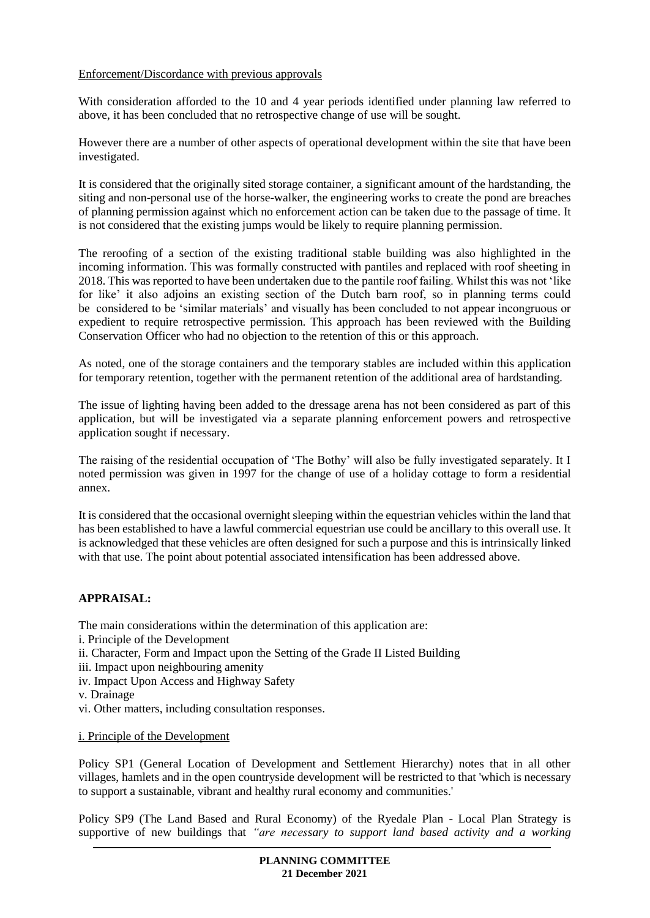#### Enforcement/Discordance with previous approvals

With consideration afforded to the 10 and 4 year periods identified under planning law referred to above, it has been concluded that no retrospective change of use will be sought.

However there are a number of other aspects of operational development within the site that have been investigated.

It is considered that the originally sited storage container, a significant amount of the hardstanding, the siting and non-personal use of the horse-walker, the engineering works to create the pond are breaches of planning permission against which no enforcement action can be taken due to the passage of time. It is not considered that the existing jumps would be likely to require planning permission.

The reroofing of a section of the existing traditional stable building was also highlighted in the incoming information. This was formally constructed with pantiles and replaced with roof sheeting in 2018. This was reported to have been undertaken due to the pantile roof failing. Whilst this was not 'like for like' it also adjoins an existing section of the Dutch barn roof, so in planning terms could be considered to be 'similar materials' and visually has been concluded to not appear incongruous or expedient to require retrospective permission. This approach has been reviewed with the Building Conservation Officer who had no objection to the retention of this or this approach.

As noted, one of the storage containers and the temporary stables are included within this application for temporary retention, together with the permanent retention of the additional area of hardstanding.

The issue of lighting having been added to the dressage arena has not been considered as part of this application, but will be investigated via a separate planning enforcement powers and retrospective application sought if necessary.

The raising of the residential occupation of 'The Bothy' will also be fully investigated separately. It I noted permission was given in 1997 for the change of use of a holiday cottage to form a residential annex.

It is considered that the occasional overnight sleeping within the equestrian vehicles within the land that has been established to have a lawful commercial equestrian use could be ancillary to this overall use. It is acknowledged that these vehicles are often designed for such a purpose and this is intrinsically linked with that use. The point about potential associated intensification has been addressed above.

## **APPRAISAL:**

The main considerations within the determination of this application are:

- i. Principle of the Development
- ii. Character, Form and Impact upon the Setting of the Grade II Listed Building
- iii. Impact upon neighbouring amenity
- iv. Impact Upon Access and Highway Safety
- v. Drainage
- vi. Other matters, including consultation responses.

#### i. Principle of the Development

Policy SP1 (General Location of Development and Settlement Hierarchy) notes that in all other villages, hamlets and in the open countryside development will be restricted to that 'which is necessary to support a sustainable, vibrant and healthy rural economy and communities.'

Policy SP9 (The Land Based and Rural Economy) of the Ryedale Plan - Local Plan Strategy is supportive of new buildings that *"are necessary to support land based activity and a working*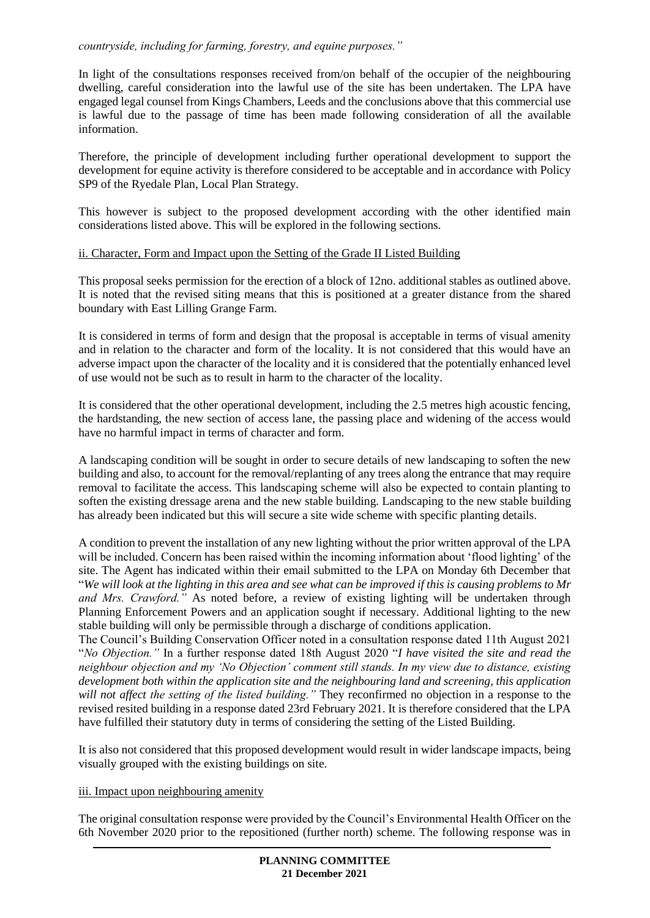# *countryside, including for farming, forestry, and equine purposes."*

In light of the consultations responses received from/on behalf of the occupier of the neighbouring dwelling, careful consideration into the lawful use of the site has been undertaken. The LPA have engaged legal counsel from Kings Chambers, Leeds and the conclusions above that this commercial use is lawful due to the passage of time has been made following consideration of all the available information.

Therefore, the principle of development including further operational development to support the development for equine activity is therefore considered to be acceptable and in accordance with Policy SP9 of the Ryedale Plan, Local Plan Strategy.

This however is subject to the proposed development according with the other identified main considerations listed above. This will be explored in the following sections.

## ii. Character, Form and Impact upon the Setting of the Grade II Listed Building

This proposal seeks permission for the erection of a block of 12no. additional stables as outlined above. It is noted that the revised siting means that this is positioned at a greater distance from the shared boundary with East Lilling Grange Farm.

It is considered in terms of form and design that the proposal is acceptable in terms of visual amenity and in relation to the character and form of the locality. It is not considered that this would have an adverse impact upon the character of the locality and it is considered that the potentially enhanced level of use would not be such as to result in harm to the character of the locality.

It is considered that the other operational development, including the 2.5 metres high acoustic fencing, the hardstanding, the new section of access lane, the passing place and widening of the access would have no harmful impact in terms of character and form.

A landscaping condition will be sought in order to secure details of new landscaping to soften the new building and also, to account for the removal/replanting of any trees along the entrance that may require removal to facilitate the access. This landscaping scheme will also be expected to contain planting to soften the existing dressage arena and the new stable building. Landscaping to the new stable building has already been indicated but this will secure a site wide scheme with specific planting details.

A condition to prevent the installation of any new lighting without the prior written approval of the LPA will be included. Concern has been raised within the incoming information about 'flood lighting' of the site. The Agent has indicated within their email submitted to the LPA on Monday 6th December that "*We will look at the lighting in this area and see what can be improved if this is causing problems to Mr and Mrs. Crawford."* As noted before, a review of existing lighting will be undertaken through Planning Enforcement Powers and an application sought if necessary. Additional lighting to the new stable building will only be permissible through a discharge of conditions application.

The Council's Building Conservation Officer noted in a consultation response dated 11th August 2021 "*No Objection."* In a further response dated 18th August 2020 "*I have visited the site and read the neighbour objection and my 'No Objection' comment still stands. In my view due to distance, existing development both within the application site and the neighbouring land and screening, this application will not affect the setting of the listed building."* They reconfirmed no objection in a response to the revised resited building in a response dated 23rd February 2021. It is therefore considered that the LPA have fulfilled their statutory duty in terms of considering the setting of the Listed Building.

It is also not considered that this proposed development would result in wider landscape impacts, being visually grouped with the existing buildings on site.

## iii. Impact upon neighbouring amenity

The original consultation response were provided by the Council's Environmental Health Officer on the 6th November 2020 prior to the repositioned (further north) scheme. The following response was in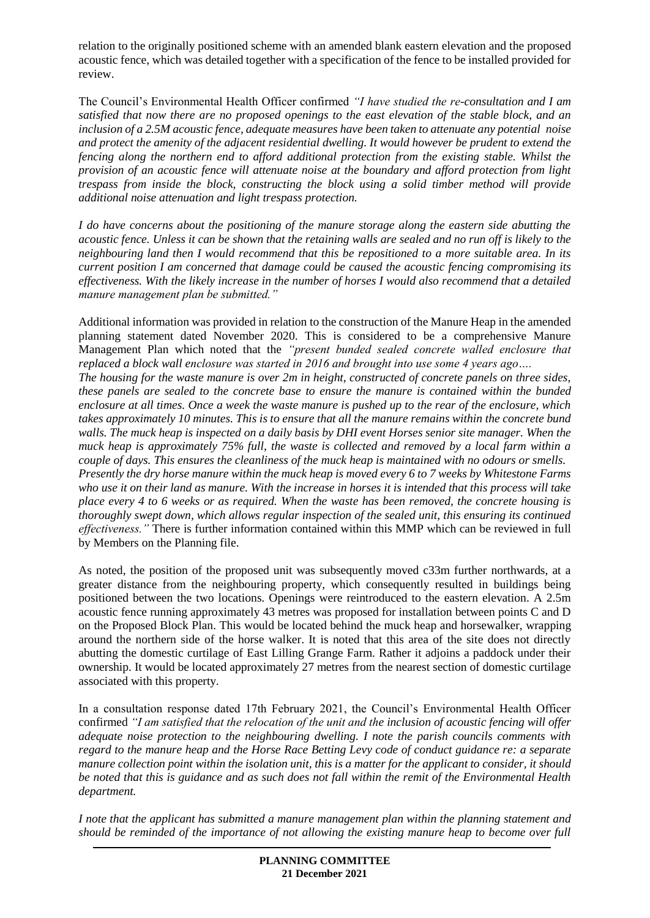relation to the originally positioned scheme with an amended blank eastern elevation and the proposed acoustic fence, which was detailed together with a specification of the fence to be installed provided for review.

The Council's Environmental Health Officer confirmed *"I have studied the re-consultation and I am satisfied that now there are no proposed openings to the east elevation of the stable block, and an inclusion of a 2.5M acoustic fence, adequate measures have been taken to attenuate any potential noise and protect the amenity of the adjacent residential dwelling. It would however be prudent to extend the fencing along the northern end to afford additional protection from the existing stable. Whilst the provision of an acoustic fence will attenuate noise at the boundary and afford protection from light trespass from inside the block, constructing the block using a solid timber method will provide additional noise attenuation and light trespass protection.*

*I do have concerns about the positioning of the manure storage along the eastern side abutting the acoustic fence. Unless it can be shown that the retaining walls are sealed and no run off is likely to the neighbouring land then I would recommend that this be repositioned to a more suitable area. In its current position I am concerned that damage could be caused the acoustic fencing compromising its effectiveness. With the likely increase in the number of horses I would also recommend that a detailed manure management plan be submitted."*

Additional information was provided in relation to the construction of the Manure Heap in the amended planning statement dated November 2020. This is considered to be a comprehensive Manure Management Plan which noted that the *"present bunded sealed concrete walled enclosure that replaced a block wall enclosure was started in 2016 and brought into use some 4 years ago…. The housing for the waste manure is over 2m in height, constructed of concrete panels on three sides, these panels are sealed to the concrete base to ensure the manure is contained within the bunded enclosure at all times. Once a week the waste manure is pushed up to the rear of the enclosure, which takes approximately 10 minutes. This is to ensure that all the manure remains within the concrete bund walls. The muck heap is inspected on a daily basis by DHI event Horses senior site manager. When the muck heap is approximately 75% full, the waste is collected and removed by a local farm within a couple of days. This ensures the cleanliness of the muck heap is maintained with no odours or smells. Presently the dry horse manure within the muck heap is moved every 6 to 7 weeks by Whitestone Farms who use it on their land as manure. With the increase in horses it is intended that this process will take place every 4 to 6 weeks or as required. When the waste has been removed, the concrete housing is thoroughly swept down, which allows regular inspection of the sealed unit, this ensuring its continued effectiveness."* There is further information contained within this MMP which can be reviewed in full by Members on the Planning file.

As noted, the position of the proposed unit was subsequently moved c33m further northwards, at a greater distance from the neighbouring property, which consequently resulted in buildings being positioned between the two locations. Openings were reintroduced to the eastern elevation. A 2.5m acoustic fence running approximately 43 metres was proposed for installation between points C and D on the Proposed Block Plan. This would be located behind the muck heap and horsewalker, wrapping around the northern side of the horse walker. It is noted that this area of the site does not directly abutting the domestic curtilage of East Lilling Grange Farm. Rather it adjoins a paddock under their ownership. It would be located approximately 27 metres from the nearest section of domestic curtilage associated with this property.

In a consultation response dated 17th February 2021, the Council's Environmental Health Officer confirmed *"I am satisfied that the relocation of the unit and the inclusion of acoustic fencing will offer adequate noise protection to the neighbouring dwelling. I note the parish councils comments with regard to the manure heap and the Horse Race Betting Levy code of conduct guidance re: a separate manure collection point within the isolation unit, this is a matter for the applicant to consider, it should be noted that this is guidance and as such does not fall within the remit of the Environmental Health department.* 

*I note that the applicant has submitted a manure management plan within the planning statement and should be reminded of the importance of not allowing the existing manure heap to become over full*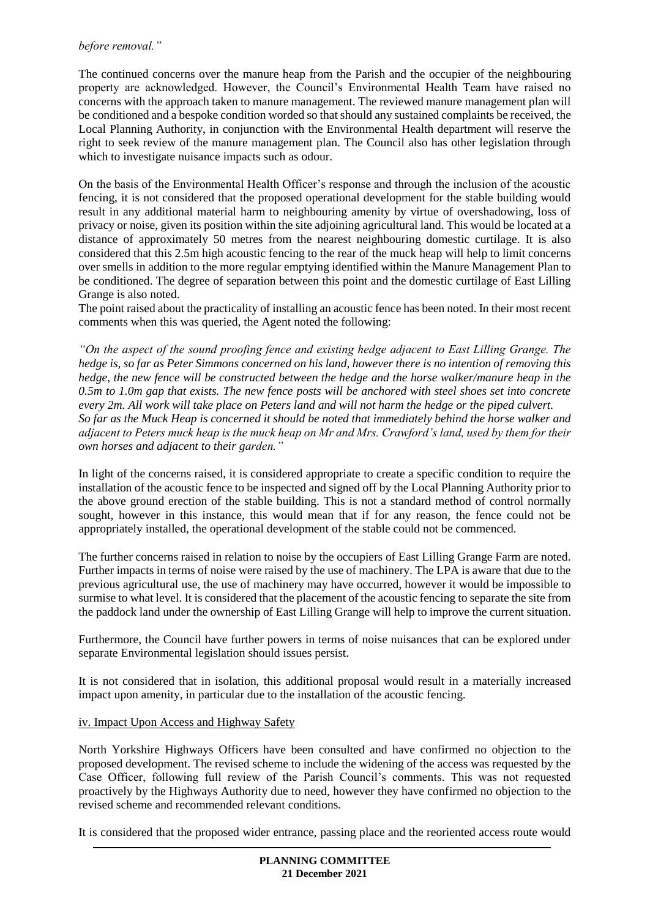# *before removal."*

The continued concerns over the manure heap from the Parish and the occupier of the neighbouring property are acknowledged. However, the Council's Environmental Health Team have raised no concerns with the approach taken to manure management. The reviewed manure management plan will be conditioned and a bespoke condition worded so that should any sustained complaints be received, the Local Planning Authority, in conjunction with the Environmental Health department will reserve the right to seek review of the manure management plan. The Council also has other legislation through which to investigate nuisance impacts such as odour.

On the basis of the Environmental Health Officer's response and through the inclusion of the acoustic fencing, it is not considered that the proposed operational development for the stable building would result in any additional material harm to neighbouring amenity by virtue of overshadowing, loss of privacy or noise, given its position within the site adjoining agricultural land. This would be located at a distance of approximately 50 metres from the nearest neighbouring domestic curtilage. It is also considered that this 2.5m high acoustic fencing to the rear of the muck heap will help to limit concerns over smells in addition to the more regular emptying identified within the Manure Management Plan to be conditioned. The degree of separation between this point and the domestic curtilage of East Lilling Grange is also noted.

The point raised about the practicality of installing an acoustic fence has been noted. In their most recent comments when this was queried, the Agent noted the following:

*"On the aspect of the sound proofing fence and existing hedge adjacent to East Lilling Grange. The hedge is, so far as Peter Simmons concerned on his land, however there is no intention of removing this hedge, the new fence will be constructed between the hedge and the horse walker/manure heap in the 0.5m to 1.0m gap that exists. The new fence posts will be anchored with steel shoes set into concrete every 2m. All work will take place on Peters land and will not harm the hedge or the piped culvert. So far as the Muck Heap is concerned it should be noted that immediately behind the horse walker and adjacent to Peters muck heap is the muck heap on Mr and Mrs. Crawford's land, used by them for their own horses and adjacent to their garden."*

In light of the concerns raised, it is considered appropriate to create a specific condition to require the installation of the acoustic fence to be inspected and signed off by the Local Planning Authority prior to the above ground erection of the stable building. This is not a standard method of control normally sought, however in this instance, this would mean that if for any reason, the fence could not be appropriately installed, the operational development of the stable could not be commenced.

The further concerns raised in relation to noise by the occupiers of East Lilling Grange Farm are noted. Further impacts in terms of noise were raised by the use of machinery. The LPA is aware that due to the previous agricultural use, the use of machinery may have occurred, however it would be impossible to surmise to what level. It is considered that the placement of the acoustic fencing to separate the site from the paddock land under the ownership of East Lilling Grange will help to improve the current situation.

Furthermore, the Council have further powers in terms of noise nuisances that can be explored under separate Environmental legislation should issues persist.

It is not considered that in isolation, this additional proposal would result in a materially increased impact upon amenity, in particular due to the installation of the acoustic fencing.

## iv. Impact Upon Access and Highway Safety

North Yorkshire Highways Officers have been consulted and have confirmed no objection to the proposed development. The revised scheme to include the widening of the access was requested by the Case Officer, following full review of the Parish Council's comments. This was not requested proactively by the Highways Authority due to need, however they have confirmed no objection to the revised scheme and recommended relevant conditions.

It is considered that the proposed wider entrance, passing place and the reoriented access route would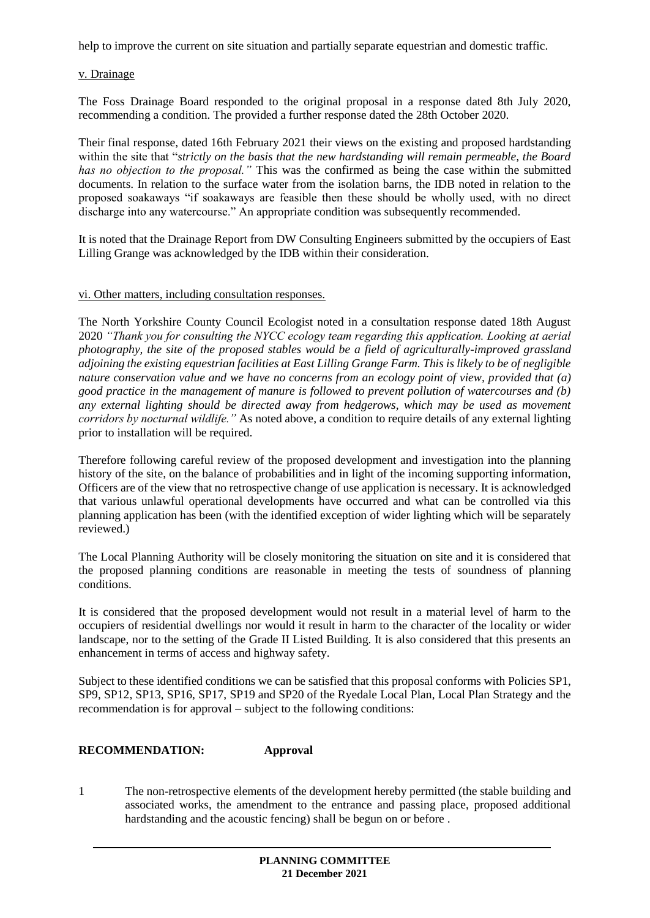help to improve the current on site situation and partially separate equestrian and domestic traffic.

#### v. Drainage

The Foss Drainage Board responded to the original proposal in a response dated 8th July 2020, recommending a condition. The provided a further response dated the 28th October 2020.

Their final response, dated 16th February 2021 their views on the existing and proposed hardstanding within the site that "*strictly on the basis that the new hardstanding will remain permeable, the Board has no objection to the proposal."* This was the confirmed as being the case within the submitted documents. In relation to the surface water from the isolation barns, the IDB noted in relation to the proposed soakaways "if soakaways are feasible then these should be wholly used, with no direct discharge into any watercourse." An appropriate condition was subsequently recommended.

It is noted that the Drainage Report from DW Consulting Engineers submitted by the occupiers of East Lilling Grange was acknowledged by the IDB within their consideration.

#### vi. Other matters, including consultation responses.

The North Yorkshire County Council Ecologist noted in a consultation response dated 18th August 2020 *"Thank you for consulting the NYCC ecology team regarding this application. Looking at aerial photography, the site of the proposed stables would be a field of agriculturally-improved grassland adjoining the existing equestrian facilities at East Lilling Grange Farm. This is likely to be of negligible nature conservation value and we have no concerns from an ecology point of view, provided that (a) good practice in the management of manure is followed to prevent pollution of watercourses and (b) any external lighting should be directed away from hedgerows, which may be used as movement corridors by nocturnal wildlife."* As noted above, a condition to require details of any external lighting prior to installation will be required.

Therefore following careful review of the proposed development and investigation into the planning history of the site, on the balance of probabilities and in light of the incoming supporting information, Officers are of the view that no retrospective change of use application is necessary. It is acknowledged that various unlawful operational developments have occurred and what can be controlled via this planning application has been (with the identified exception of wider lighting which will be separately reviewed.)

The Local Planning Authority will be closely monitoring the situation on site and it is considered that the proposed planning conditions are reasonable in meeting the tests of soundness of planning conditions.

It is considered that the proposed development would not result in a material level of harm to the occupiers of residential dwellings nor would it result in harm to the character of the locality or wider landscape, nor to the setting of the Grade II Listed Building. It is also considered that this presents an enhancement in terms of access and highway safety.

Subject to these identified conditions we can be satisfied that this proposal conforms with Policies SP1, SP9, SP12, SP13, SP16, SP17, SP19 and SP20 of the Ryedale Local Plan, Local Plan Strategy and the recommendation is for approval – subject to the following conditions:

## **RECOMMENDATION: Approval**

1 The non-retrospective elements of the development hereby permitted (the stable building and associated works, the amendment to the entrance and passing place, proposed additional hardstanding and the acoustic fencing) shall be begun on or before .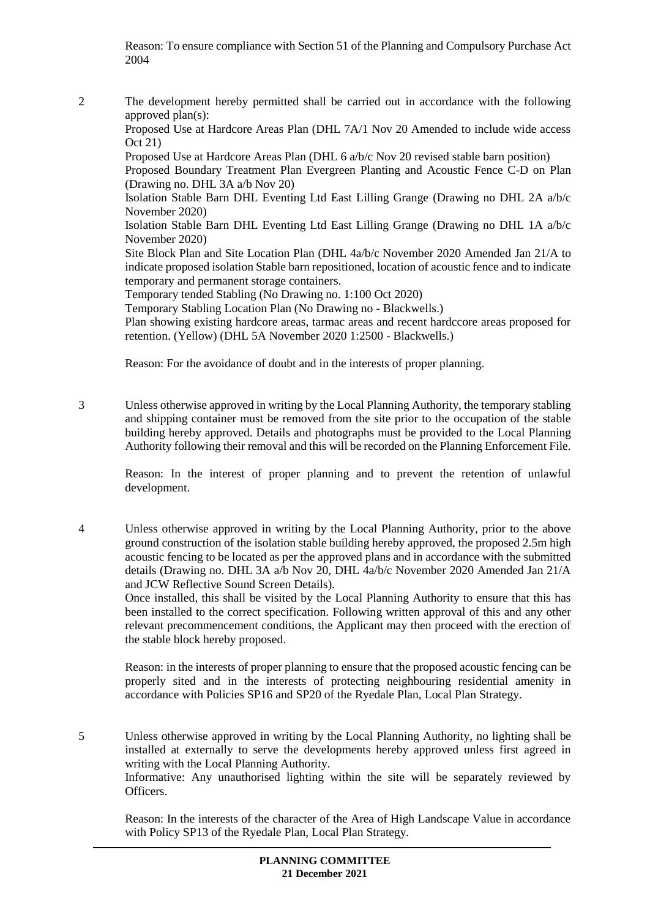Reason: To ensure compliance with Section 51 of the Planning and Compulsory Purchase Act 2004

2 The development hereby permitted shall be carried out in accordance with the following approved plan(s):

Proposed Use at Hardcore Areas Plan (DHL 7A/1 Nov 20 Amended to include wide access Oct 21)

Proposed Use at Hardcore Areas Plan (DHL 6 a/b/c Nov 20 revised stable barn position)

Proposed Boundary Treatment Plan Evergreen Planting and Acoustic Fence C-D on Plan (Drawing no. DHL 3A a/b Nov 20)

Isolation Stable Barn DHL Eventing Ltd East Lilling Grange (Drawing no DHL 2A a/b/c November 2020)

Isolation Stable Barn DHL Eventing Ltd East Lilling Grange (Drawing no DHL 1A a/b/c November 2020)

Site Block Plan and Site Location Plan (DHL 4a/b/c November 2020 Amended Jan 21/A to indicate proposed isolation Stable barn repositioned, location of acoustic fence and to indicate temporary and permanent storage containers.

Temporary tended Stabling (No Drawing no. 1:100 Oct 2020)

Temporary Stabling Location Plan (No Drawing no - Blackwells.)

Plan showing existing hardcore areas, tarmac areas and recent hardccore areas proposed for retention. (Yellow) (DHL 5A November 2020 1:2500 - Blackwells.)

Reason: For the avoidance of doubt and in the interests of proper planning.

3 Unless otherwise approved in writing by the Local Planning Authority, the temporary stabling and shipping container must be removed from the site prior to the occupation of the stable building hereby approved. Details and photographs must be provided to the Local Planning Authority following their removal and this will be recorded on the Planning Enforcement File.

Reason: In the interest of proper planning and to prevent the retention of unlawful development.

4 Unless otherwise approved in writing by the Local Planning Authority, prior to the above ground construction of the isolation stable building hereby approved, the proposed 2.5m high acoustic fencing to be located as per the approved plans and in accordance with the submitted details (Drawing no. DHL 3A a/b Nov 20, DHL 4a/b/c November 2020 Amended Jan 21/A and JCW Reflective Sound Screen Details).

Once installed, this shall be visited by the Local Planning Authority to ensure that this has been installed to the correct specification. Following written approval of this and any other relevant precommencement conditions, the Applicant may then proceed with the erection of the stable block hereby proposed.

Reason: in the interests of proper planning to ensure that the proposed acoustic fencing can be properly sited and in the interests of protecting neighbouring residential amenity in accordance with Policies SP16 and SP20 of the Ryedale Plan, Local Plan Strategy.

5 Unless otherwise approved in writing by the Local Planning Authority, no lighting shall be installed at externally to serve the developments hereby approved unless first agreed in writing with the Local Planning Authority.

Informative: Any unauthorised lighting within the site will be separately reviewed by Officers.

Reason: In the interests of the character of the Area of High Landscape Value in accordance with Policy SP13 of the Ryedale Plan, Local Plan Strategy.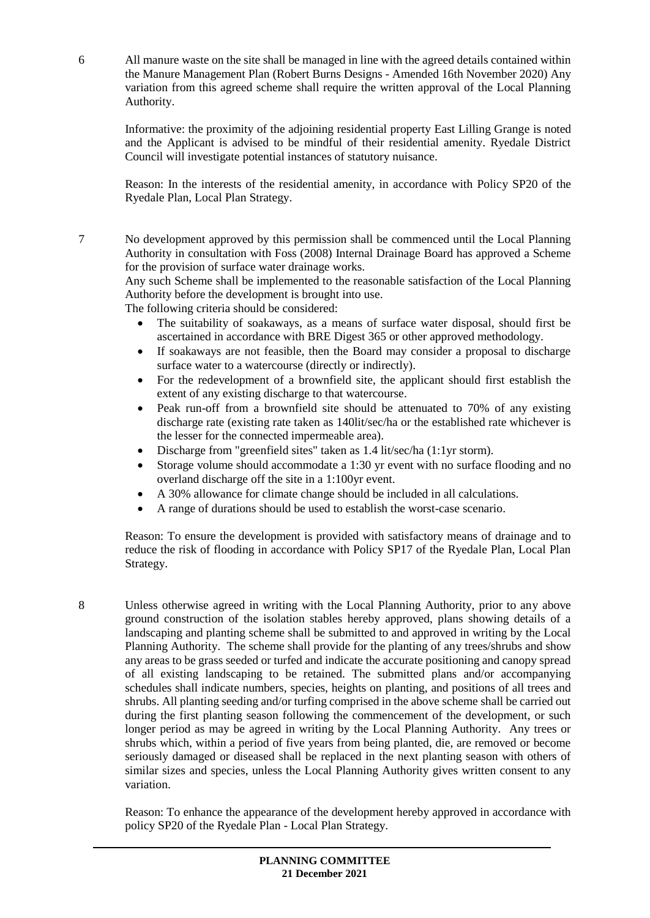6 All manure waste on the site shall be managed in line with the agreed details contained within the Manure Management Plan (Robert Burns Designs - Amended 16th November 2020) Any variation from this agreed scheme shall require the written approval of the Local Planning Authority.

Informative: the proximity of the adjoining residential property East Lilling Grange is noted and the Applicant is advised to be mindful of their residential amenity. Ryedale District Council will investigate potential instances of statutory nuisance.

Reason: In the interests of the residential amenity, in accordance with Policy SP20 of the Ryedale Plan, Local Plan Strategy.

7 No development approved by this permission shall be commenced until the Local Planning Authority in consultation with Foss (2008) Internal Drainage Board has approved a Scheme for the provision of surface water drainage works.

Any such Scheme shall be implemented to the reasonable satisfaction of the Local Planning Authority before the development is brought into use.

The following criteria should be considered:

- The suitability of soakaways, as a means of surface water disposal, should first be ascertained in accordance with BRE Digest 365 or other approved methodology.
- If soakaways are not feasible, then the Board may consider a proposal to discharge surface water to a watercourse (directly or indirectly).
- For the redevelopment of a brownfield site, the applicant should first establish the extent of any existing discharge to that watercourse.
- Peak run-off from a brownfield site should be attenuated to 70% of any existing discharge rate (existing rate taken as 140lit/sec/ha or the established rate whichever is the lesser for the connected impermeable area).
- Discharge from "greenfield sites" taken as 1.4 lit/sec/ha (1:1yr storm).
- Storage volume should accommodate a 1:30 yr event with no surface flooding and no overland discharge off the site in a 1:100yr event.
- A 30% allowance for climate change should be included in all calculations.
- A range of durations should be used to establish the worst-case scenario.

Reason: To ensure the development is provided with satisfactory means of drainage and to reduce the risk of flooding in accordance with Policy SP17 of the Ryedale Plan, Local Plan Strategy.

8 Unless otherwise agreed in writing with the Local Planning Authority, prior to any above ground construction of the isolation stables hereby approved, plans showing details of a landscaping and planting scheme shall be submitted to and approved in writing by the Local Planning Authority. The scheme shall provide for the planting of any trees/shrubs and show any areas to be grass seeded or turfed and indicate the accurate positioning and canopy spread of all existing landscaping to be retained. The submitted plans and/or accompanying schedules shall indicate numbers, species, heights on planting, and positions of all trees and shrubs. All planting seeding and/or turfing comprised in the above scheme shall be carried out during the first planting season following the commencement of the development, or such longer period as may be agreed in writing by the Local Planning Authority. Any trees or shrubs which, within a period of five years from being planted, die, are removed or become seriously damaged or diseased shall be replaced in the next planting season with others of similar sizes and species, unless the Local Planning Authority gives written consent to any variation.

Reason: To enhance the appearance of the development hereby approved in accordance with policy SP20 of the Ryedale Plan - Local Plan Strategy.